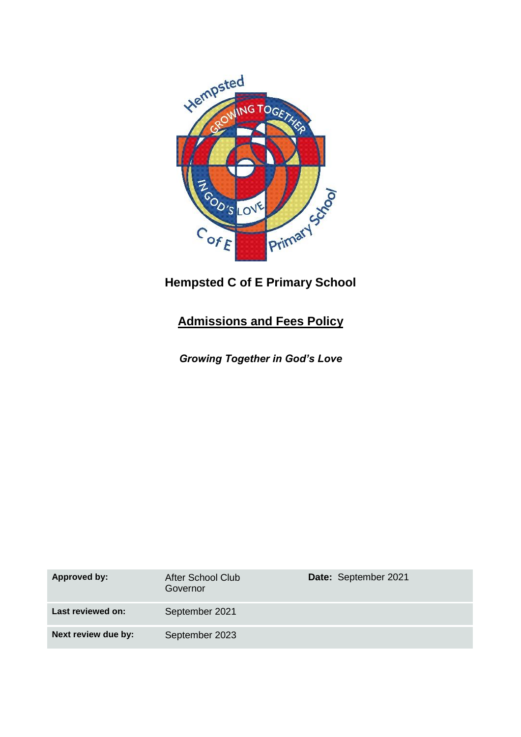

# **Hempsted C of E Primary School**

# **Admissions and Fees Policy**

*Growing Together in God's Love*

| <b>Approved by:</b> | After School Club<br>Governor | Date: September 2021 |
|---------------------|-------------------------------|----------------------|
| Last reviewed on:   | September 2021                |                      |
| Next review due by: | September 2023                |                      |